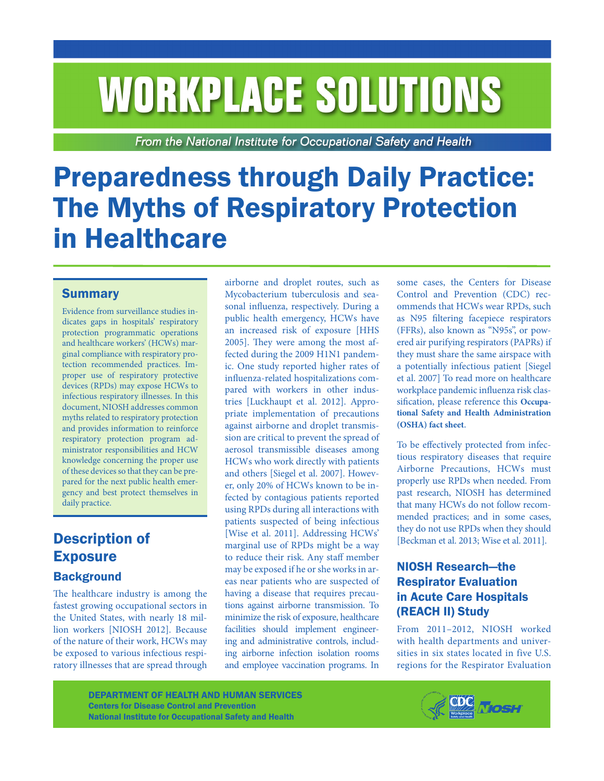# **WORKPLACE SOLUTIONS**

From the National Institute for Occupational Safety and Health

# Preparedness through Daily Practice: The Myths of Respiratory Protection in Healthcare

#### **Summary**

Evidence from surveillance studies indicates gaps in hospitals' respiratory protection programmatic operations and healthcare workers' (HCWs) marginal compliance with respiratory protection recommended practices. Improper use of respiratory protective devices (RPDs) may expose HCWs to infectious respiratory illnesses. In this document, NIOSH addresses common myths related to respiratory protection and provides information to reinforce respiratory protection program administrator responsibilities and HCW knowledge concerning the proper use of these devices so that they can be prepared for the next public health emergency and best protect themselves in daily practice.

## Description of **Exposure**

#### **Background**

The healthcare industry is among the fastest growing occupational sectors in the United States, with nearly 18 million workers [NIOSH 2012]. Because of the nature of their work, HCWs may be exposed to various infectious respiratory illnesses that are spread through

airborne and droplet routes, such as Mycobacterium tuberculosis and seasonal influenza, respectively. During a public health emergency, HCWs have an increased risk of exposure [HHS 2005]. They were among the most affected during the 2009 H1N1 pandemic. One study reported higher rates of influenza-related hospitalizations compared with workers in other industries [Luckhaupt et al. 2012]. Appropriate implementation of precautions against airborne and droplet transmission are critical to prevent the spread of aerosol transmissible diseases among HCWs who work directly with patients and others [Siegel et al. 2007]. However, only 20% of HCWs known to be infected by contagious patients reported using RPDs during all interactions with patients suspected of being infectious [Wise et al. 2011]. Addressing HCWs' marginal use of RPDs might be a way to reduce their risk. Any staff member may be exposed if he or she works in areas near patients who are suspected of having a disease that requires precautions against airborne transmission. To minimize the risk of exposure, healthcare facilities should implement engineering and administrative controls, including airborne infection isolation rooms and employee vaccination programs. In

some cases, the Centers for Disease Control and Prevention (CDC) recommends that HCWs wear RPDs, such as N95 filtering facepiece respirators (FFRs), also known as "N95s", or powered air purifying respirators (PAPRs) if they must share the same airspace with a potentially infectious patient [Siegel et al. 2007] To read more on healthcare workplace pandemic influenza risk classification, please reference this **[Occupa](https://www.osha.gov/Publications/exposure-risk-classification-factsheet.html)[tional Safety and Health Administration](https://www.osha.gov/Publications/exposure-risk-classification-factsheet.html)  [\(OSHA\) fact sheet](https://www.osha.gov/Publications/exposure-risk-classification-factsheet.html)**.

To be effectively protected from infectious respiratory diseases that require Airborne Precautions, HCWs must properly use RPDs when needed. From past research, NIOSH has determined that many HCWs do not follow recommended practices; and in some cases, they do not use RPDs when they should [Beckman et al. 2013; Wise et al. 2011].

#### NIOSH Research—the Respirator Evaluation in Acute Care Hospitals (REACH II) Study

From 2011–2012, NIOSH worked with health departments and universities in six states located in five U.S. regions for the Respirator Evaluation

DEPARTMENT OF HEALTH AND HUMAN SERVICES Centers for Disease Control and Prevention National Institute for Occupational Safety and Health

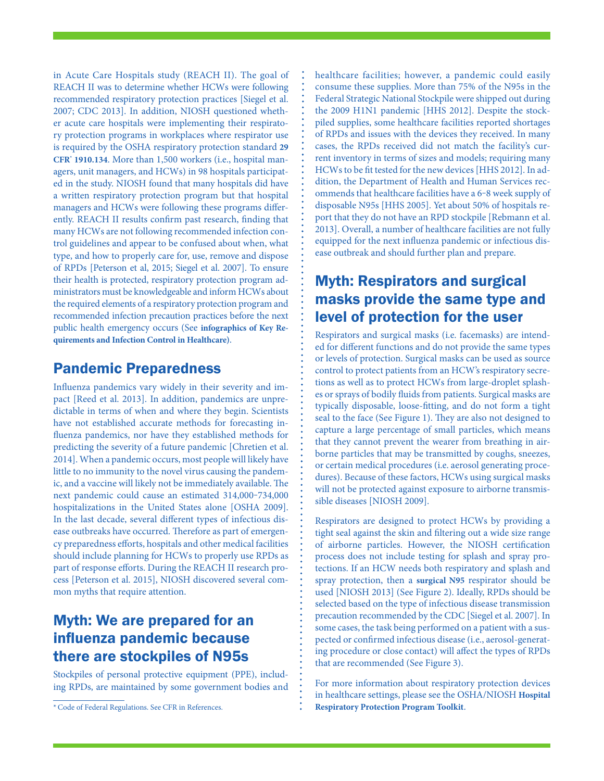in Acute Care Hospitals study (REACH II). The goal of REACH II was to determine whether HCWs were following recommended respiratory protection practices [Siegel et al. 2007; CDC 2013]. In addition, NIOSH questioned whether acute care hospitals were implementing their respiratory protection programs in workplaces where respirator use is required by the OSHA respiratory protection standard **[29](https://www.osha.gov/pls/oshaweb/owadisp.show_document?p_table=standards&p_id=12716) CFR\*  [1910.134](https://www.osha.gov/pls/oshaweb/owadisp.show_document?p_table=standards&p_id=12716)**. More than 1,500 workers (i.e., hospital managers, unit managers, and HCWs) in 98 hospitals participated in the study. NIOSH found that many hospitals did have a written respiratory protection program but that hospital managers and HCWs were following these programs differently. REACH II results confirm past research, finding that many HCWs are not following recommended infection control guidelines and appear to be confused about when, what type, and how to properly care for, use, remove and dispose of RPDs [Peterson et al, 2015; Siegel et al. 2007]. To ensure their health is protected, respiratory protection program administrators must be knowledgeable and inform HCWs about the required elements of a respiratory protection program and recommended infection precaution practices before the next public health emergency occurs (See **[infographics of Key Re](http://www.cdc.gov/niosh/npptl/n95dayinfographics.html)[quirements](http://www.cdc.gov/niosh/npptl/n95dayinfographics.html) and Infection Control in Healthcare)**.

#### Pandemic Preparedness

Influenza pandemics vary widely in their severity and impact [Reed et al. 2013]. In addition, pandemics are unpredictable in terms of when and where they begin. Scientists have not established accurate methods for forecasting influenza pandemics, nor have they established methods for predicting the severity of a future pandemic [Chretien et al. 2014]. When a pandemic occurs, most people will likely have little to no immunity to the novel virus causing the pandemic, and a vaccine will likely not be immediately available. The next pandemic could cause an estimated 314,000-734,000 hospitalizations in the United States alone [OSHA 2009]. In the last decade, several different types of infectious disease outbreaks have occurred. Therefore as part of emergency preparedness efforts, hospitals and other medical facilities should include planning for HCWs to properly use RPDs as part of response efforts. During the REACH II research process [Peterson et al. 2015], NIOSH discovered several common myths that require attention.

#### Myth: We are prepared for an influenza pandemic because there are stockpiles of N95s

Stockpiles of personal protective equipment (PPE), including RPDs, are maintained by some government bodies and

\*Code of Federal Regulations. See CFR in References.

healthcare facilities; however, a pandemic could easily consume these supplies. More than 75% of the N95s in the Federal Strategic National Stockpile were shipped out during the 2009 H1N1 pandemic [HHS 2012]. Despite the stockpiled supplies, some healthcare facilities reported shortages of RPDs and issues with the devices they received. In many cases, the RPDs received did not match the facility's current inventory in terms of sizes and models; requiring many HCWs to be fit tested for the new devices [HHS 2012]. In addition, the Department of Health and Human Services recommends that healthcare facilities have a 6-8 week supply of disposable N95s [HHS 2005]. Yet about 50% of hospitals report that they do not have an RPD stockpile [Rebmann et al. 2013]. Overall, a number of healthcare facilities are not fully equipped for the next influenza pandemic or infectious disease outbreak and should further plan and prepare.

#### Myth: Respirators and surgical masks provide the same type and level of protection for the user

Respirators and surgical masks (i.e. facemasks) are intended for different functions and do not provide the same types or levels of protection. Surgical masks can be used as source control to protect patients from an HCW's respiratory secretions as well as to protect HCWs from large-droplet splashes or sprays of bodily fluids from patients. Surgical masks are typically disposable, loose-fitting, and do not form a tight seal to the face (See Figure 1). They are also not designed to capture a large percentage of small particles, which means that they cannot prevent the wearer from breathing in airborne particles that may be transmitted by coughs, sneezes, or certain medical procedures (i.e. aerosol generating procedures). Because of these factors, HCWs using surgical masks will not be protected against exposure to airborne transmissible diseases [NIOSH 2009].

Respirators are designed to protect HCWs by providing a tight seal against the skin and filtering out a wide size range of airborne particles. However, the NIOSH certification process does not include testing for splash and spray protections. If an HCW needs both respiratory and splash and spray protection, then a **[surgical N95](http://www.cdc.gov/niosh/npptl/topics/respirators/disp_part/RespSource3healthcare.html)** respirator should be used [NIOSH 2013] (See Figure 2). Ideally, RPDs should be selected based on the type of infectious disease transmission precaution recommended by the CDC [Siegel et al. 2007]. In some cases, the task being performed on a patient with a suspected or confirmed infectious disease (i.e., aerosol-generating procedure or close contact) will affect the types of RPDs that are recommended (See Figure 3).

For more information about respiratory protection devices in healthcare settings, please see the OSHA/NIOSH **[Hospital](https://www.osha.gov/Publications/OSHA3767.pdf) [Respiratory Protection Program Toolkit](https://www.osha.gov/Publications/OSHA3767.pdf)**.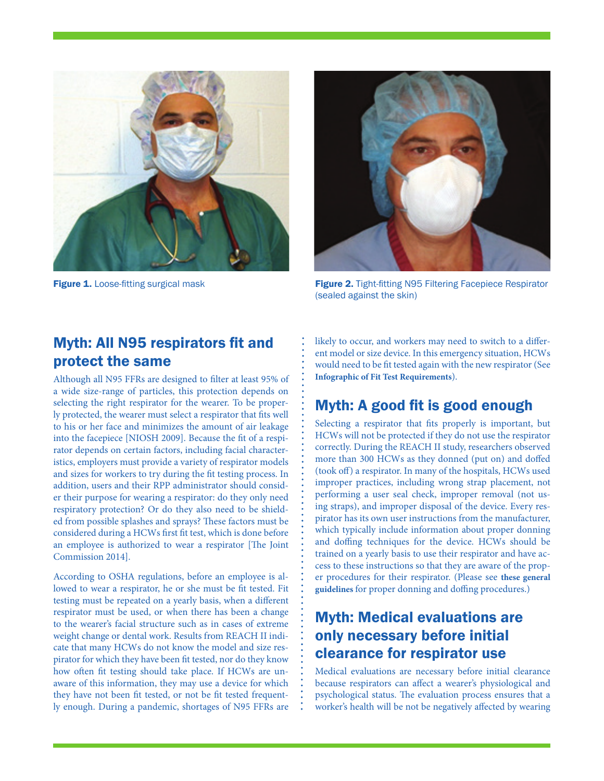



**Figure 1.** Loose-fitting surgical mask **Figure 2.** Tight-fitting N95 Filtering Facepiece Respirator (sealed against the skin)

#### Myth: All N95 respirators fit and protect the same

Although all N95 FFRs are designed to filter at least 95% of a wide size-range of particles, this protection depends on selecting the right respirator for the wearer. To be properly protected, the wearer must select a respirator that fits well to his or her face and minimizes the amount of air leakage into the facepiece [NIOSH 2009]. Because the fit of a respirator depends on certain factors, including facial characteristics, employers must provide a variety of respirator models and sizes for workers to try during the fit testing process. In addition, users and their RPP administrator should consider their purpose for wearing a respirator: do they only need respiratory protection? Or do they also need to be shielded from possible splashes and sprays? These factors must be considered during a HCWs first fit test, which is done before an employee is authorized to wear a respirator [The Joint Commission 2014].

According to OSHA regulations, before an employee is allowed to wear a respirator, he or she must be fit tested. Fit testing must be repeated on a yearly basis, when a different respirator must be used, or when there has been a change to the wearer's facial structure such as in cases of extreme weight change or dental work. Results from REACH II indicate that many HCWs do not know the model and size respirator for which they have been fit tested, nor do they know how often fit testing should take place. If HCWs are unaware of this information, they may use a device for which they have not been fit tested, or not be fit tested frequently enough. During a pandemic, shortages of N95 FFRs are likely to occur, and workers may need to switch to a different model or size device. In this emergency situation, HCWs would need to be fit tested again with the new respirator (See **[Infographic of Fit Test Requirements](http://www.cdc.gov/niosh/npptl/n95dayinfographics.html)**).

### Myth: A good fit is good enough

Selecting a respirator that fits properly is important, but HCWs will not be protected if they do not use the respirator correctly. During the REACH II study, researchers observed more than 300 HCWs as they donned (put on) and doffed (took off) a respirator. In many of the hospitals, HCWs used improper practices, including wrong strap placement, not performing a user seal check, improper removal (not using straps), and improper disposal of the device. Every respirator has its own user instructions from the manufacturer, which typically include information about proper donning and doffing techniques for the device. HCWs should be trained on a yearly basis to use their respirator and have access to these instructions so that they are aware of the proper procedures for their respirator. (Please see **[these general](http://www.cdc.gov/niosh/docs/2010-133/pdfs/2010-133.pdf) [guidelines](http://www.cdc.gov/niosh/docs/2010-133/pdfs/2010-133.pdf)** for proper donning and doffing procedures.)

#### Myth: Medical evaluations are only necessary before initial clearance for respirator use

Medical evaluations are necessary before initial clearance because respirators can affect a wearer's physiological and psychological status. The evaluation process ensures that a worker's health will be not be negatively affected by wearing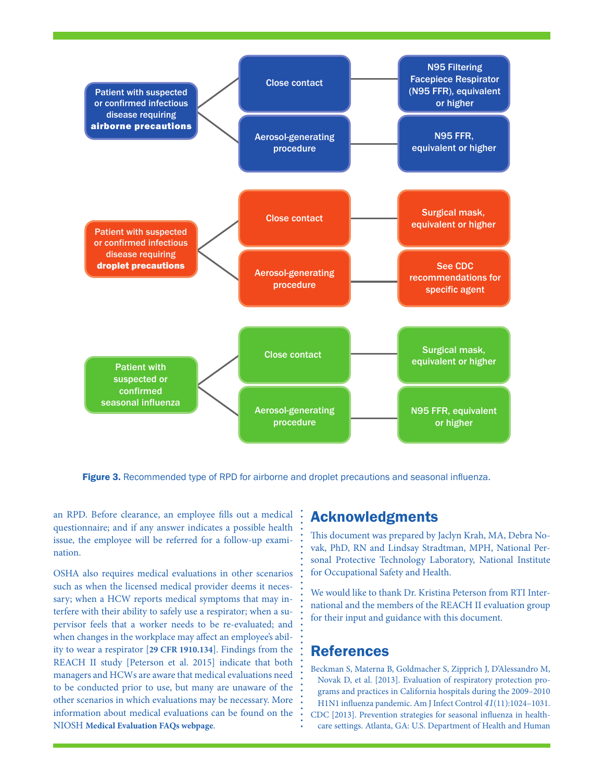

Figure 3. Recommended type of RPD for airborne and droplet precautions and seasonal influenza.

an RPD. Before clearance, an employee fills out a medical questionnaire; and if any answer indicates a possible health issue, the employee will be referred for a follow-up examination.

OSHA also requires medical evaluations in other scenarios such as when the licensed medical provider deems it necessary; when a HCW reports medical symptoms that may interfere with their ability to safely use a respirator; when a supervisor feels that a worker needs to be re-evaluated; and when changes in the workplace may affect an employee's ability to wear a respirator [**[29 CFR 1910.134](https://www.osha.gov/pls/oshaweb/owadisp.show_document?p_table=standards&p_id=12716)**]. Findings from the REACH II study [Peterson et al. 2015] indicate that both managers and HCWs are aware that medical evaluations need to be conducted prior to use, but many are unaware of the other scenarios in which evaluations may be necessary. More information about medical evaluations can be found on the NIOSH **[Medical Evaluation FAQs webpage](http://www.cdc.gov/niosh/npptl/topics/respirators/disp_part/RespSource3medical.html)**.

#### Acknowledgments

This document was prepared by Jaclyn Krah, MA, Debra Novak, PhD, RN and Lindsay Stradtman, MPH, National Personal Protective Technology Laboratory, National Institute for Occupational Safety and Health.

We would like to thank Dr. Kristina Peterson from RTI International and the members of the REACH II evaluation group for their input and guidance with this document.

#### References

Beckman S, Materna B, Goldmacher S, Zipprich J, D'Alessandro M, Novak D, et al. [2013]. Evaluation of respiratory protection programs and practices in California hospitals during the 2009–2010 H1N1 influenza pandemic. Am J Infect Control *41*(11):1024–1031. CDC [2013]. Prevention strategies for seasonal influenza in healthcare settings. Atlanta, GA: U.S. Department of Health and Human